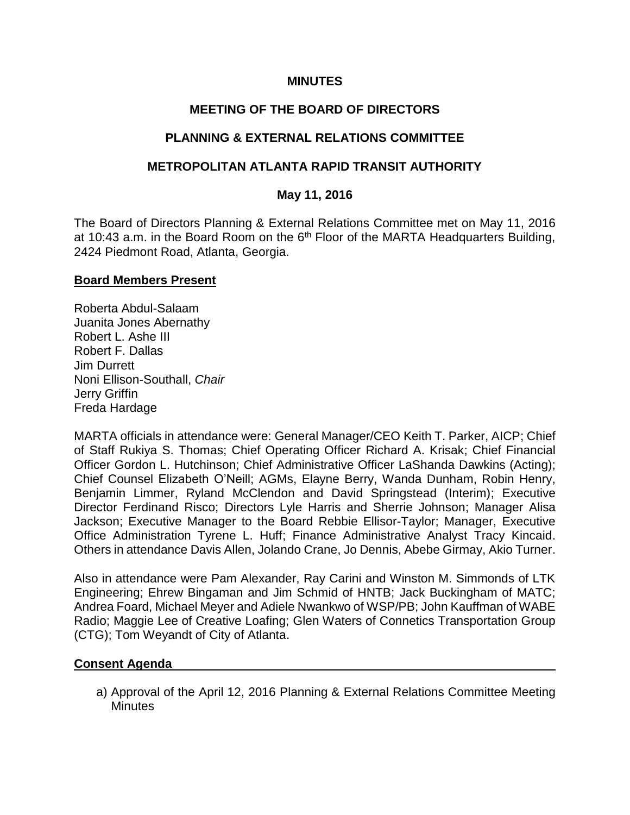### **MINUTES**

### **MEETING OF THE BOARD OF DIRECTORS**

### **PLANNING & EXTERNAL RELATIONS COMMITTEE**

### **METROPOLITAN ATLANTA RAPID TRANSIT AUTHORITY**

#### **May 11, 2016**

The Board of Directors Planning & External Relations Committee met on May 11, 2016 at 10:43 a.m. in the Board Room on the  $6<sup>th</sup>$  Floor of the MARTA Headquarters Building, 2424 Piedmont Road, Atlanta, Georgia.

#### **Board Members Present**

Roberta Abdul-Salaam Juanita Jones Abernathy Robert L. Ashe III Robert F. Dallas Jim Durrett Noni Ellison-Southall, *Chair*  Jerry Griffin Freda Hardage

MARTA officials in attendance were: General Manager/CEO Keith T. Parker, AICP; Chief of Staff Rukiya S. Thomas; Chief Operating Officer Richard A. Krisak; Chief Financial Officer Gordon L. Hutchinson; Chief Administrative Officer LaShanda Dawkins (Acting); Chief Counsel Elizabeth O'Neill; AGMs, Elayne Berry, Wanda Dunham, Robin Henry, Benjamin Limmer, Ryland McClendon and David Springstead (Interim); Executive Director Ferdinand Risco; Directors Lyle Harris and Sherrie Johnson; Manager Alisa Jackson; Executive Manager to the Board Rebbie Ellisor-Taylor; Manager, Executive Office Administration Tyrene L. Huff; Finance Administrative Analyst Tracy Kincaid. Others in attendance Davis Allen, Jolando Crane, Jo Dennis, Abebe Girmay, Akio Turner.

Also in attendance were Pam Alexander, Ray Carini and Winston M. Simmonds of LTK Engineering; Ehrew Bingaman and Jim Schmid of HNTB; Jack Buckingham of MATC; Andrea Foard, Michael Meyer and Adiele Nwankwo of WSP/PB; John Kauffman of WABE Radio; Maggie Lee of Creative Loafing; Glen Waters of Connetics Transportation Group (CTG); Tom Weyandt of City of Atlanta.

#### **Consent Agenda**

a) Approval of the April 12, 2016 Planning & External Relations Committee Meeting **Minutes**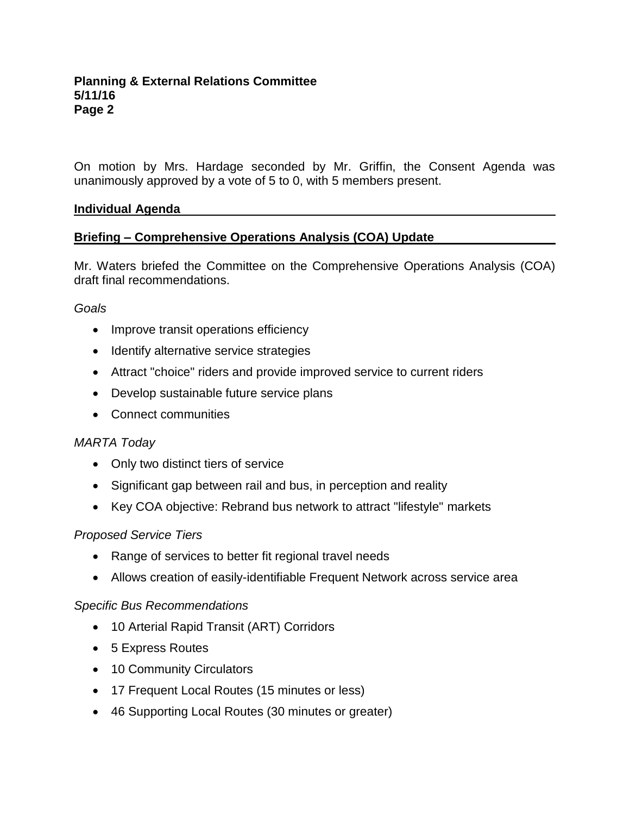On motion by Mrs. Hardage seconded by Mr. Griffin, the Consent Agenda was unanimously approved by a vote of 5 to 0, with 5 members present.

### **Individual Agenda**

# **Briefing – Comprehensive Operations Analysis (COA) Update**

Mr. Waters briefed the Committee on the Comprehensive Operations Analysis (COA) draft final recommendations.

### *Goals*

- Improve transit operations efficiency
- Identify alternative service strategies
- Attract "choice" riders and provide improved service to current riders
- Develop sustainable future service plans
- Connect communities

### *MARTA Today*

- Only two distinct tiers of service
- Significant gap between rail and bus, in perception and reality
- Key COA objective: Rebrand bus network to attract "lifestyle" markets

### *Proposed Service Tiers*

- Range of services to better fit regional travel needs
- Allows creation of easily-identifiable Frequent Network across service area

### *Specific Bus Recommendations*

- 10 Arterial Rapid Transit (ART) Corridors
- 5 Express Routes
- 10 Community Circulators
- 17 Frequent Local Routes (15 minutes or less)
- 46 Supporting Local Routes (30 minutes or greater)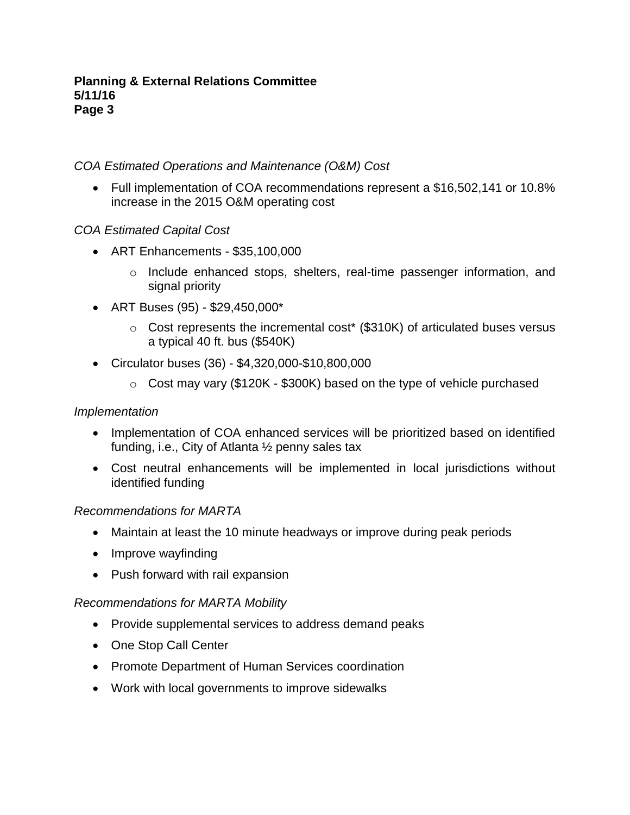### *COA Estimated Operations and Maintenance (O&M) Cost*

 Full implementation of COA recommendations represent a \$16,502,141 or 10.8% increase in the 2015 O&M operating cost

# *COA Estimated Capital Cost*

- ART Enhancements \$35,100,000
	- o Include enhanced stops, shelters, real-time passenger information, and signal priority
- ART Buses (95) \$29,450,000\*
	- $\circ$  Cost represents the incremental cost<sup>\*</sup> (\$310K) of articulated buses versus a typical 40 ft. bus (\$540K)
- Circulator buses (36) \$4,320,000-\$10,800,000
	- $\circ$  Cost may vary (\$120K \$300K) based on the type of vehicle purchased

### *Implementation*

- Implementation of COA enhanced services will be prioritized based on identified funding, i.e., City of Atlanta ½ penny sales tax
- Cost neutral enhancements will be implemented in local jurisdictions without identified funding

### *Recommendations for MARTA*

- Maintain at least the 10 minute headways or improve during peak periods
- Improve wayfinding
- Push forward with rail expansion

### *Recommendations for MARTA Mobility*

- Provide supplemental services to address demand peaks
- One Stop Call Center
- Promote Department of Human Services coordination
- Work with local governments to improve sidewalks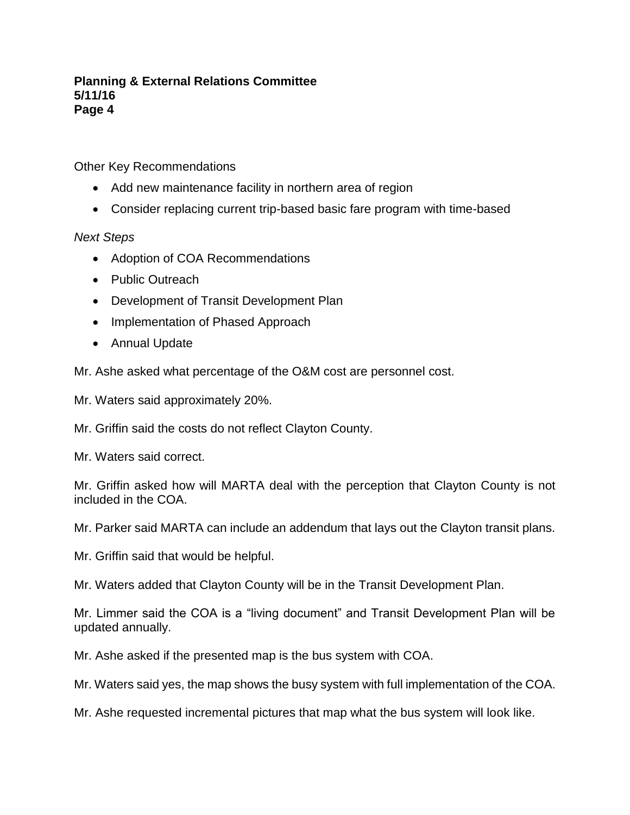Other Key Recommendations

- Add new maintenance facility in northern area of region
- Consider replacing current trip-based basic fare program with time-based

# *Next Steps*

- Adoption of COA Recommendations
- Public Outreach
- Development of Transit Development Plan
- Implementation of Phased Approach
- Annual Update

Mr. Ashe asked what percentage of the O&M cost are personnel cost.

Mr. Waters said approximately 20%.

Mr. Griffin said the costs do not reflect Clayton County.

Mr. Waters said correct.

Mr. Griffin asked how will MARTA deal with the perception that Clayton County is not included in the COA.

Mr. Parker said MARTA can include an addendum that lays out the Clayton transit plans.

Mr. Griffin said that would be helpful.

Mr. Waters added that Clayton County will be in the Transit Development Plan.

Mr. Limmer said the COA is a "living document" and Transit Development Plan will be updated annually.

Mr. Ashe asked if the presented map is the bus system with COA.

Mr. Waters said yes, the map shows the busy system with full implementation of the COA.

Mr. Ashe requested incremental pictures that map what the bus system will look like.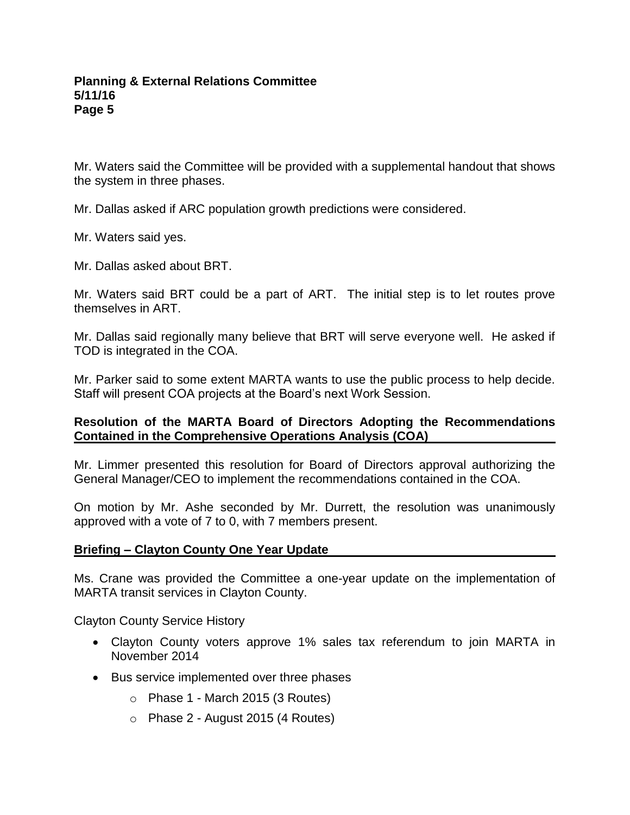Mr. Waters said the Committee will be provided with a supplemental handout that shows the system in three phases.

Mr. Dallas asked if ARC population growth predictions were considered.

Mr. Waters said yes.

Mr. Dallas asked about BRT.

Mr. Waters said BRT could be a part of ART. The initial step is to let routes prove themselves in ART.

Mr. Dallas said regionally many believe that BRT will serve everyone well. He asked if TOD is integrated in the COA.

Mr. Parker said to some extent MARTA wants to use the public process to help decide. Staff will present COA projects at the Board's next Work Session.

# **Resolution of the MARTA Board of Directors Adopting the Recommendations Contained in the Comprehensive Operations Analysis (COA)**

Mr. Limmer presented this resolution for Board of Directors approval authorizing the General Manager/CEO to implement the recommendations contained in the COA.

On motion by Mr. Ashe seconded by Mr. Durrett, the resolution was unanimously approved with a vote of 7 to 0, with 7 members present.

### **Briefing – Clayton County One Year Update**

Ms. Crane was provided the Committee a one-year update on the implementation of MARTA transit services in Clayton County.

Clayton County Service History

- Clayton County voters approve 1% sales tax referendum to join MARTA in November 2014
- Bus service implemented over three phases
	- $\circ$  Phase 1 March 2015 (3 Routes)
	- o Phase 2 August 2015 (4 Routes)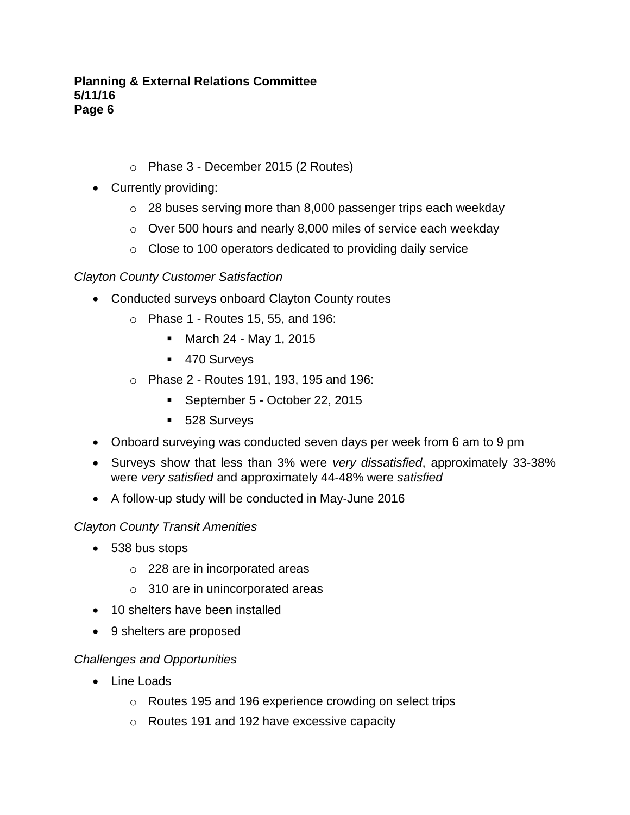- o Phase 3 December 2015 (2 Routes)
- Currently providing:
	- o 28 buses serving more than 8,000 passenger trips each weekday
	- o Over 500 hours and nearly 8,000 miles of service each weekday
	- o Close to 100 operators dedicated to providing daily service

### *Clayton County Customer Satisfaction*

- Conducted surveys onboard Clayton County routes
	- $\circ$  Phase 1 Routes 15, 55, and 196:
		- $\blacksquare$  March 24 May 1, 2015
		- 470 Surveys
	- o Phase 2 Routes 191, 193, 195 and 196:
		- September 5 October 22, 2015
		- **528 Surveys**
- Onboard surveying was conducted seven days per week from 6 am to 9 pm
- Surveys show that less than 3% were *very dissatisfied*, approximately 33-38% were *very satisfied* and approximately 44-48% were *satisfied*
- A follow-up study will be conducted in May-June 2016

### *Clayton County Transit Amenities*

- 538 bus stops
	- o 228 are in incorporated areas
	- o 310 are in unincorporated areas
- 10 shelters have been installed
- 9 shelters are proposed

### *Challenges and Opportunities*

- Line Loads
	- o Routes 195 and 196 experience crowding on select trips
	- o Routes 191 and 192 have excessive capacity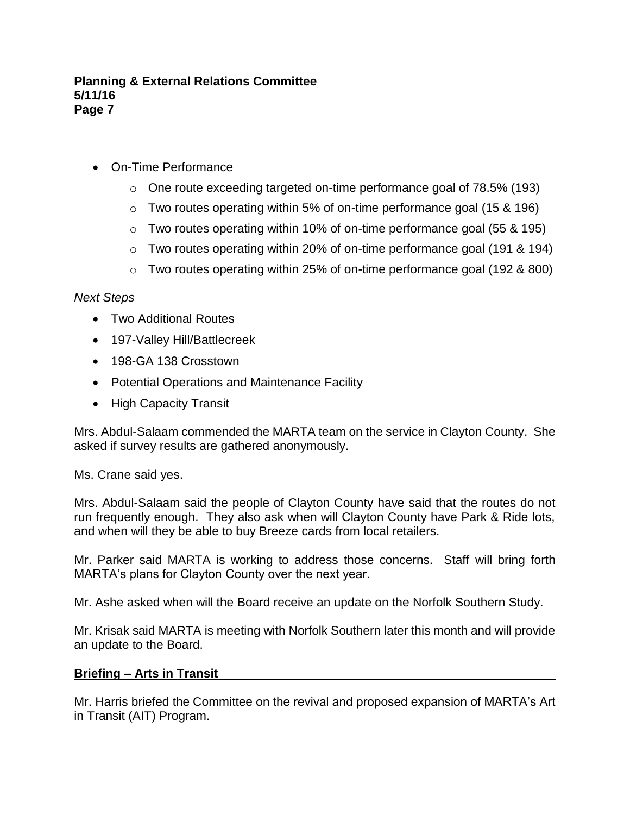- On-Time Performance
	- $\circ$  One route exceeding targeted on-time performance goal of 78.5% (193)
	- o Two routes operating within 5% of on-time performance goal (15 & 196)
	- $\circ$  Two routes operating within 10% of on-time performance goal (55 & 195)
	- o Two routes operating within 20% of on-time performance goal (191 & 194)
	- o Two routes operating within 25% of on-time performance goal (192 & 800)

#### *Next Steps*

- Two Additional Routes
- 197-Valley Hill/Battlecreek
- 198-GA 138 Crosstown
- Potential Operations and Maintenance Facility
- High Capacity Transit

Mrs. Abdul-Salaam commended the MARTA team on the service in Clayton County. She asked if survey results are gathered anonymously.

Ms. Crane said yes.

Mrs. Abdul-Salaam said the people of Clayton County have said that the routes do not run frequently enough. They also ask when will Clayton County have Park & Ride lots, and when will they be able to buy Breeze cards from local retailers.

Mr. Parker said MARTA is working to address those concerns. Staff will bring forth MARTA's plans for Clayton County over the next year.

Mr. Ashe asked when will the Board receive an update on the Norfolk Southern Study.

Mr. Krisak said MARTA is meeting with Norfolk Southern later this month and will provide an update to the Board.

### **Briefing – Arts in Transit**

Mr. Harris briefed the Committee on the revival and proposed expansion of MARTA's Art in Transit (AIT) Program.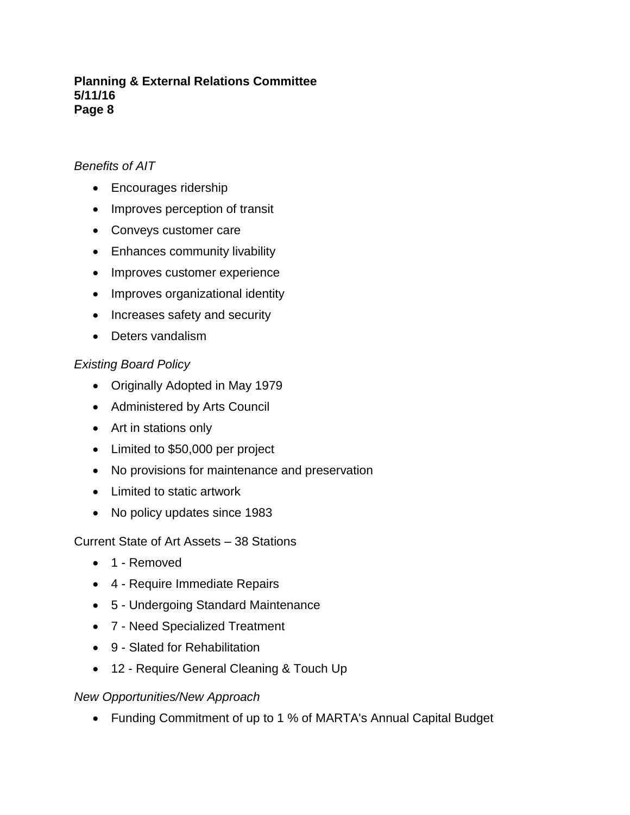# *Benefits of AIT*

- Encourages ridership
- Improves perception of transit
- Conveys customer care
- Enhances community livability
- Improves customer experience
- Improves organizational identity
- Increases safety and security
- Deters vandalism

# *Existing Board Policy*

- Originally Adopted in May 1979
- Administered by Arts Council
- Art in stations only
- Limited to \$50,000 per project
- No provisions for maintenance and preservation
- Limited to static artwork
- No policy updates since 1983

Current State of Art Assets – 38 Stations

- 1 Removed
- 4 Require Immediate Repairs
- 5 Undergoing Standard Maintenance
- 7 Need Specialized Treatment
- 9 Slated for Rehabilitation
- 12 Require General Cleaning & Touch Up

### *New Opportunities/New Approach*

Funding Commitment of up to 1 % of MARTA's Annual Capital Budget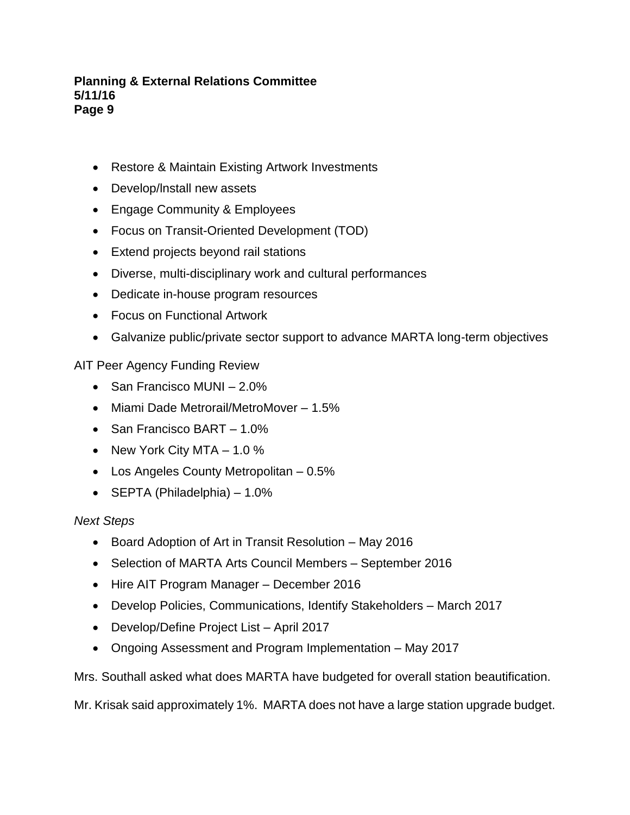- Restore & Maintain Existing Artwork Investments
- Develop/Install new assets
- Engage Community & Employees
- Focus on Transit-Oriented Development (TOD)
- Extend projects beyond rail stations
- Diverse, multi-disciplinary work and cultural performances
- Dedicate in-house program resources
- Focus on Functional Artwork
- Galvanize public/private sector support to advance MARTA long-term objectives

AIT Peer Agency Funding Review

- San Francisco MUNI 2.0%
- Miami Dade Metrorail/MetroMover 1.5%
- San Francisco BART 1.0%
- New York City MTA  $-1.0\%$
- Los Angeles County Metropolitan 0.5%
- $\bullet$  SEPTA (Philadelphia) 1.0%

# *Next Steps*

- Board Adoption of Art in Transit Resolution May 2016
- Selection of MARTA Arts Council Members September 2016
- Hire AIT Program Manager December 2016
- Develop Policies, Communications, Identify Stakeholders March 2017
- Develop/Define Project List April 2017
- Ongoing Assessment and Program Implementation May 2017

Mrs. Southall asked what does MARTA have budgeted for overall station beautification.

Mr. Krisak said approximately 1%. MARTA does not have a large station upgrade budget.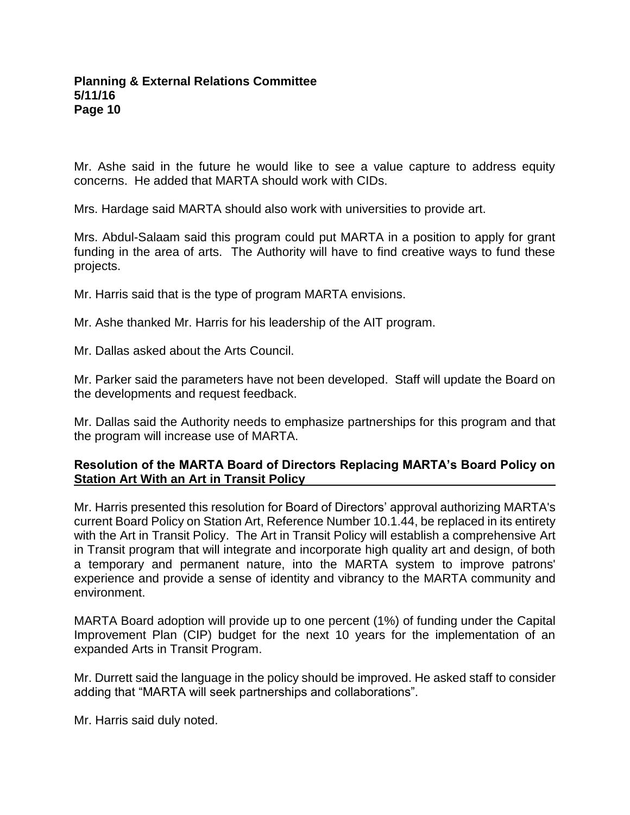Mr. Ashe said in the future he would like to see a value capture to address equity concerns. He added that MARTA should work with CIDs.

Mrs. Hardage said MARTA should also work with universities to provide art.

Mrs. Abdul-Salaam said this program could put MARTA in a position to apply for grant funding in the area of arts. The Authority will have to find creative ways to fund these projects.

Mr. Harris said that is the type of program MARTA envisions.

Mr. Ashe thanked Mr. Harris for his leadership of the AIT program.

Mr. Dallas asked about the Arts Council.

Mr. Parker said the parameters have not been developed. Staff will update the Board on the developments and request feedback.

Mr. Dallas said the Authority needs to emphasize partnerships for this program and that the program will increase use of MARTA.

### **Resolution of the MARTA Board of Directors Replacing MARTA's Board Policy on Station Art With an Art in Transit Policy**

Mr. Harris presented this resolution for Board of Directors' approval authorizing MARTA's current Board Policy on Station Art, Reference Number 10.1.44, be replaced in its entirety with the Art in Transit Policy. The Art in Transit Policy will establish a comprehensive Art in Transit program that will integrate and incorporate high quality art and design, of both a temporary and permanent nature, into the MARTA system to improve patrons' experience and provide a sense of identity and vibrancy to the MARTA community and environment.

MARTA Board adoption will provide up to one percent (1%) of funding under the Capital Improvement Plan (CIP) budget for the next 10 years for the implementation of an expanded Arts in Transit Program.

Mr. Durrett said the language in the policy should be improved. He asked staff to consider adding that "MARTA will seek partnerships and collaborations".

Mr. Harris said duly noted.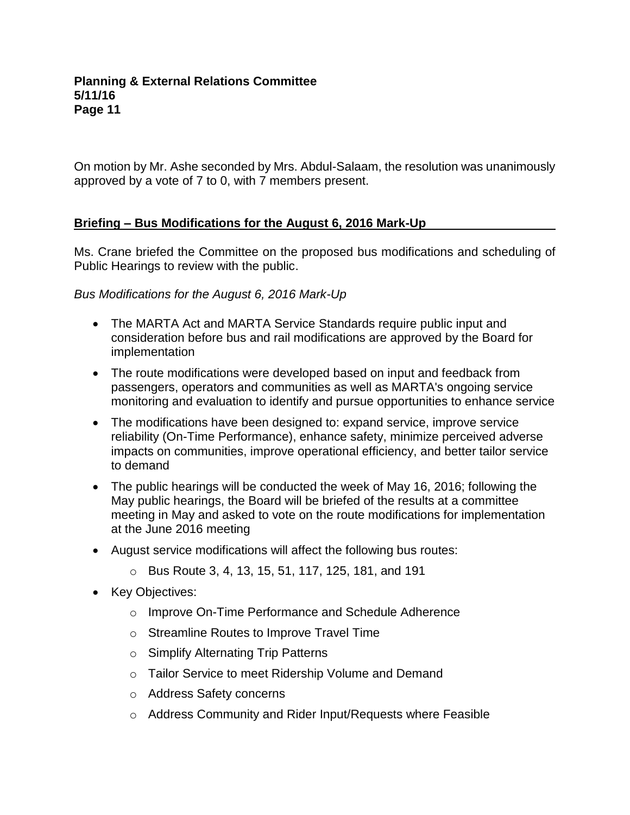On motion by Mr. Ashe seconded by Mrs. Abdul-Salaam, the resolution was unanimously approved by a vote of 7 to 0, with 7 members present.

# **Briefing – Bus Modifications for the August 6, 2016 Mark-Up**

Ms. Crane briefed the Committee on the proposed bus modifications and scheduling of Public Hearings to review with the public.

# *Bus Modifications for the August 6, 2016 Mark-Up*

- The MARTA Act and MARTA Service Standards require public input and consideration before bus and rail modifications are approved by the Board for implementation
- The route modifications were developed based on input and feedback from passengers, operators and communities as well as MARTA's ongoing service monitoring and evaluation to identify and pursue opportunities to enhance service
- The modifications have been designed to: expand service, improve service reliability (On-Time Performance), enhance safety, minimize perceived adverse impacts on communities, improve operational efficiency, and better tailor service to demand
- The public hearings will be conducted the week of May 16, 2016; following the May public hearings, the Board will be briefed of the results at a committee meeting in May and asked to vote on the route modifications for implementation at the June 2016 meeting
- August service modifications will affect the following bus routes:
	- o Bus Route 3, 4, 13, 15, 51, 117, 125, 181, and 191
- Key Objectives:
	- o Improve On-Time Performance and Schedule Adherence
	- o Streamline Routes to Improve Travel Time
	- o Simplify Alternating Trip Patterns
	- o Tailor Service to meet Ridership Volume and Demand
	- o Address Safety concerns
	- o Address Community and Rider Input/Requests where Feasible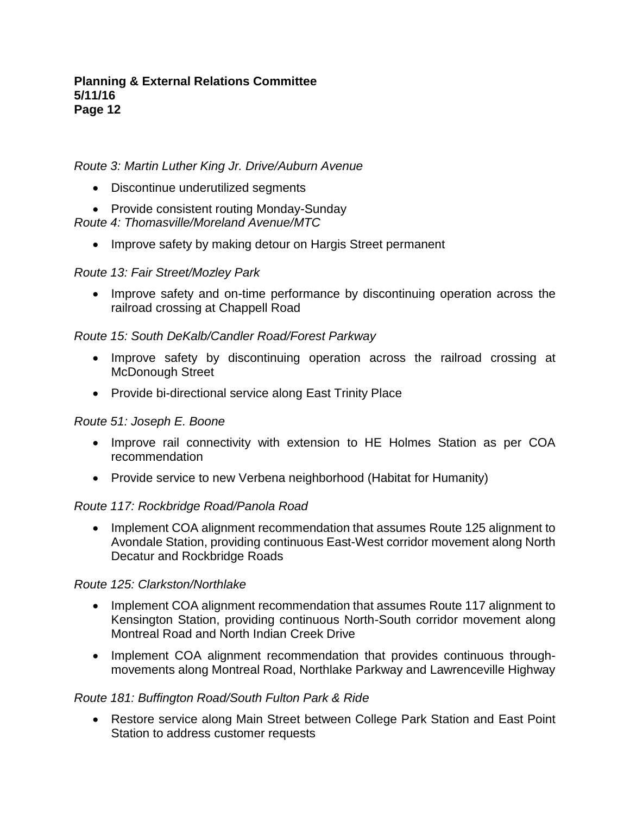# *Route 3: Martin Luther King Jr. Drive/Auburn Avenue*

- Discontinue underutilized segments
- Provide consistent routing Monday-Sunday

*Route 4: Thomasville/Moreland Avenue/MTC*

• Improve safety by making detour on Hargis Street permanent

### *Route 13: Fair Street/Mozley Park*

• Improve safety and on-time performance by discontinuing operation across the railroad crossing at Chappell Road

# *Route 15: South DeKalb/Candler Road/Forest Parkway*

- Improve safety by discontinuing operation across the railroad crossing at McDonough Street
- Provide bi-directional service along East Trinity Place

### *Route 51: Joseph E. Boone*

- Improve rail connectivity with extension to HE Holmes Station as per COA recommendation
- Provide service to new Verbena neighborhood (Habitat for Humanity)

### *Route 117: Rockbridge Road/Panola Road*

• Implement COA alignment recommendation that assumes Route 125 alignment to Avondale Station, providing continuous East-West corridor movement along North Decatur and Rockbridge Roads

### *Route 125: Clarkston/Northlake*

- Implement COA alignment recommendation that assumes Route 117 alignment to Kensington Station, providing continuous North-South corridor movement along Montreal Road and North Indian Creek Drive
- Implement COA alignment recommendation that provides continuous throughmovements along Montreal Road, Northlake Parkway and Lawrenceville Highway

### *Route 181: Buffington Road/South Fulton Park & Ride*

 Restore service along Main Street between College Park Station and East Point Station to address customer requests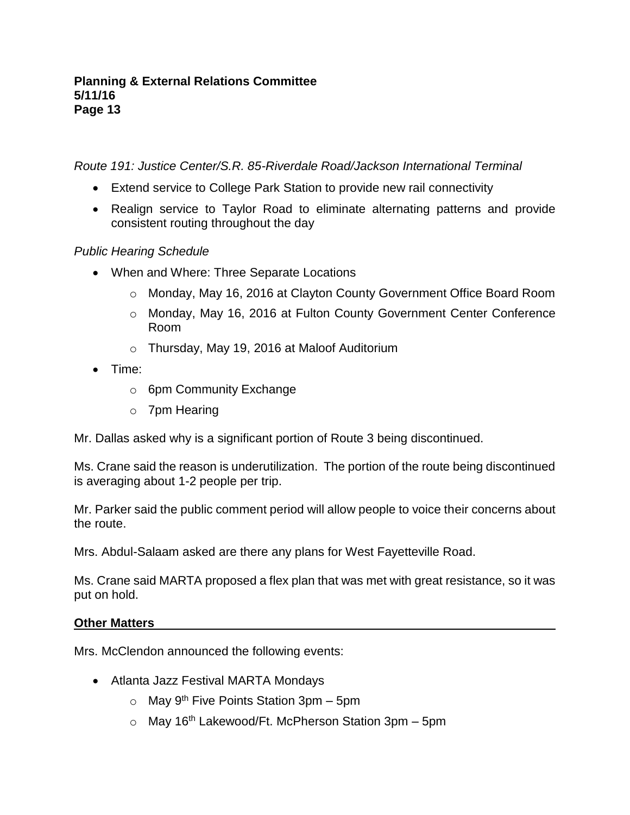*Route 191: Justice Center/S.R. 85-Riverdale Road/Jackson International Terminal*

- Extend service to College Park Station to provide new rail connectivity
- Realign service to Taylor Road to eliminate alternating patterns and provide consistent routing throughout the day

### *Public Hearing Schedule*

- When and Where: Three Separate Locations
	- o Monday, May 16, 2016 at Clayton County Government Office Board Room
	- o Monday, May 16, 2016 at Fulton County Government Center Conference Room
	- o Thursday, May 19, 2016 at Maloof Auditorium
- Time:
	- o 6pm Community Exchange
	- o 7pm Hearing

Mr. Dallas asked why is a significant portion of Route 3 being discontinued.

Ms. Crane said the reason is underutilization. The portion of the route being discontinued is averaging about 1-2 people per trip.

Mr. Parker said the public comment period will allow people to voice their concerns about the route.

Mrs. Abdul-Salaam asked are there any plans for West Fayetteville Road.

Ms. Crane said MARTA proposed a flex plan that was met with great resistance, so it was put on hold.

### **Other Matters**

Mrs. McClendon announced the following events:

- Atlanta Jazz Festival MARTA Mondays
	- $\circ$  May 9<sup>th</sup> Five Points Station 3pm 5pm
	- $\circ$  May 16<sup>th</sup> Lakewood/Ft. McPherson Station 3pm 5pm